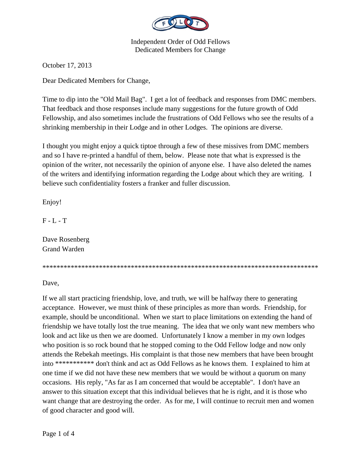

Independent Order of Odd Fellows Dedicated Members for Change

October 17, 2013

Dear Dedicated Members for Change,

Time to dip into the "Old Mail Bag". I get a lot of feedback and responses from DMC members. That feedback and those responses include many suggestions for the future growth of Odd Fellowship, and also sometimes include the frustrations of Odd Fellows who see the results of a shrinking membership in their Lodge and in other Lodges. The opinions are diverse.

I thought you might enjoy a quick tiptoe through a few of these missives from DMC members and so I have re-printed a handful of them, below. Please note that what is expressed is the opinion of the writer, not necessarily the opinion of anyone else. I have also deleted the names of the writers and identifying information regarding the Lodge about which they are writing. I believe such confidentiality fosters a franker and fuller discussion.

Enjoy!

 $F - L - T$ 

Dave Rosenberg Grand Warden

\*\*\*\*\*\*\*\*\*\*\*\*\*\*\*\*\*\*\*\*\*\*\*\*\*\*\*\*\*\*\*\*\*\*\*\*\*\*\*\*\*\*\*\*\*\*\*\*\*\*\*\*\*\*\*\*\*\*\*\*\*\*\*\*\*\*\*\*\*\*\*\*\*\*\*\*\*\*

Dave,

If we all start practicing friendship, love, and truth, we will be halfway there to generating acceptance. However, we must think of these principles as more than words. Friendship, for example, should be unconditional. When we start to place limitations on extending the hand of friendship we have totally lost the true meaning. The idea that we only want new members who look and act like us then we are doomed. Unfortunately I know a member in my own lodges who position is so rock bound that he stopped coming to the Odd Fellow lodge and now only attends the Rebekah meetings. His complaint is that those new members that have been brought into \*\*\*\*\*\*\*\*\*\*\* don't think and act as Odd Fellows as he knows them. I explained to him at one time if we did not have these new members that we would be without a quorum on many occasions. His reply, "As far as I am concerned that would be acceptable". I don't have an answer to this situation except that this individual believes that he is right, and it is those who want change that are destroying the order. As for me, I will continue to recruit men and women of good character and good will.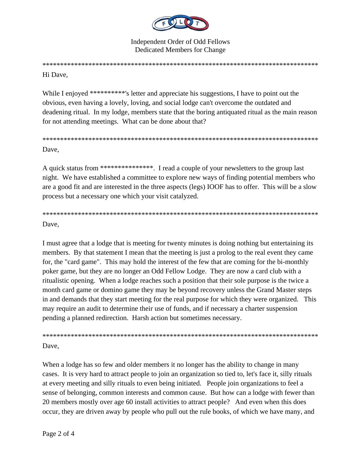

**Independent Order of Odd Fellows** Dedicated Members for Change

## 

## Hi Dave.

While I enjoyed \*\*\*\*\*\*\*\*\*\* s letter and appreciate his suggestions. I have to point out the obvious, even having a lovely, loving, and social lodge can't overcome the outdated and deadening ritual. In my lodge, members state that the boring antiquated ritual as the main reason for not attending meetings. What can be done about that?

Dave.

A quick status from \*\*\*\*\*\*\*\*\*\*\*\*\*\*\*. I read a couple of your newsletters to the group last night. We have established a committee to explore new ways of finding potential members who are a good fit and are interested in the three aspects (legs) IOOF has to offer. This will be a slow process but a necessary one which your visit catalyzed.

## Dave.

I must agree that a lodge that is meeting for twenty minutes is doing nothing but entertaining its members. By that statement I mean that the meeting is just a prolog to the real event they came for, the "card game". This may hold the interest of the few that are coming for the bi-monthly poker game, but they are no longer an Odd Fellow Lodge. They are now a card club with a ritualistic opening. When a lodge reaches such a position that their sole purpose is the twice a month card game or domino game they may be beyond recovery unless the Grand Master steps in and demands that they start meeting for the real purpose for which they were organized. This may require an audit to determine their use of funds, and if necessary a charter suspension pending a planned redirection. Harsh action but sometimes necessary.

Dave.

When a lodge has so few and older members it no longer has the ability to change in many cases. It is very hard to attract people to join an organization so tied to, let's face it, silly rituals at every meeting and silly rituals to even being initiated. People join organizations to feel a sense of belonging, common interests and common cause. But how can a lodge with fewer than 20 members mostly over age 60 install activities to attract people? And even when this does occur, they are driven away by people who pull out the rule books, of which we have many, and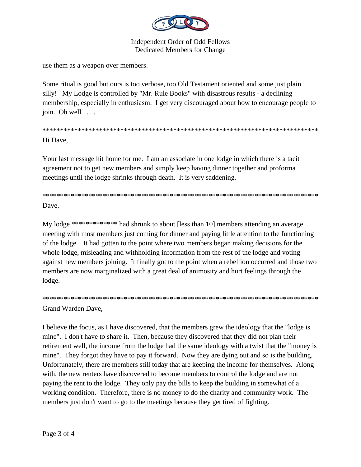

**Independent Order of Odd Fellows Dedicated Members for Change** 

use them as a weapon over members.

Some ritual is good but ours is too verbose, too Old Testament oriented and some just plain silly! My Lodge is controlled by "Mr. Rule Books" with disastrous results - a declining membership, especially in enthusiasm. I get very discouraged about how to encourage people to join. Oh well  $\ldots$ .

Hi Dave.

Your last message hit home for me. I am an associate in one lodge in which there is a tacit agreement not to get new members and simply keep having dinner together and proforma meetings until the lodge shrinks through death. It is very saddening.

Dave.

My lodge \*\*\*\*\*\*\*\*\*\*\*\*\* had shrunk to about [less than 10] members attending an average meeting with most members just coming for dinner and paying little attention to the functioning of the lodge. It had gotten to the point where two members began making decisions for the whole lodge, misleading and withholding information from the rest of the lodge and voting against new members joining. It finally got to the point when a rebellion occurred and those two members are now marginalized with a great deal of animosity and hurt feelings through the lodge.

Grand Warden Dave,

I believe the focus, as I have discovered, that the members grew the ideology that the "lodge is mine". I don't have to share it. Then, because they discovered that they did not plan their retirement well, the income from the lodge had the same ideology with a twist that the "money is" mine". They forgot they have to pay it forward. Now they are dying out and so is the building. Unfortunately, there are members still today that are keeping the income for themselves. Along with, the new renters have discovered to become members to control the lodge and are not paying the rent to the lodge. They only pay the bills to keep the building in somewhat of a working condition. Therefore, there is no money to do the charity and community work. The members just don't want to go to the meetings because they get tired of fighting.